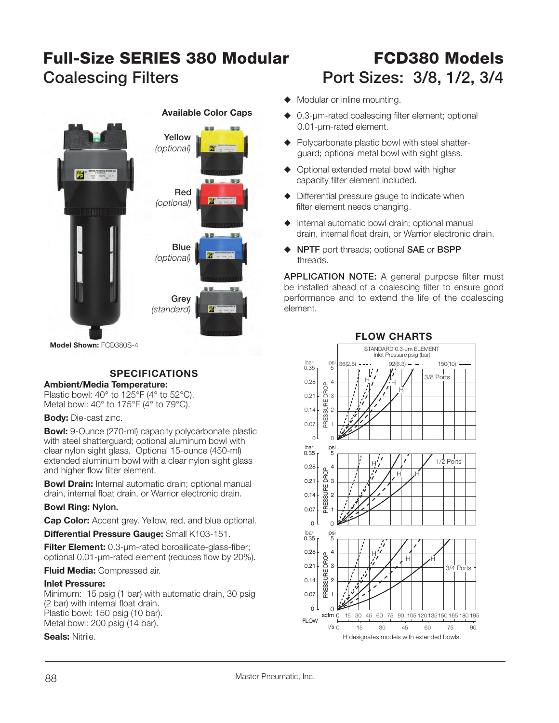## **Full-Size SERIES 380 Modular FCD380 Models**Coalescing Filters **Port Sizes: 3/8, 1/2, 3/4**

# **Available Color Caps Yellow***(optional)* us 33 **Red***(optional)* **Blue** *(optional)* **Grey** *(standard)*

**Model Shown:** FCD380S-4

### **SPECIFICATIONS**

#### **Ambient/Media Temperature:**

Plastic bowl: 40° to 125°F (4° to 52°C). Metal bowl: 40° to 175°F (4° to 79°C).

**Body:** Die-cast zinc.

**Bowl:** 9-Ounce (270-ml) capacity polycarbonate plastic with steel shatterguard; optional aluminum bowl with clear nylon sight glass. Optional 15-ounce (450-ml) extended aluminum bowl with a clear nylon sight glass and higher flow filter element.

**Bowl Drain:** Internal automatic drain; optional manual drain, internal float drain, or Warrior electronic drain.

#### **Bowl Ring: Nylon.**

**Cap Color:** Accent grey. Yellow, red, and blue optional.

**Differential Pressure Gauge:** Small K103-151.

**Filter Element:** 0.3-um-rated borosilicate-glass-fiber: optional  $0.01$ -µm-rated element (reduces flow by  $20\%$ ).

**Fluid Media: Compressed air.** 

### **Inlet Pressure:**

Minimum: 15 psig (1 bar) with automatic drain, 30 psig (2 bar) with internal float drain. Plastic bowl: 150 psig (10 bar). Metal bowl: 200 psig (14 bar).

### **Seals:** Nitrile.

- $\blacklozenge$  Modular or inline mounting.
- $\triangle$  0.3-µm-rated coalescing filter element; optional 0.01-µm-rated element.
- $\blacklozenge$  Polycarbonate plastic bowl with steel shatterguard; optional metal bowl with sight glass.
- $\blacklozenge$  Optional extended metal bowl with higher capacity filter element included.
- $\blacklozenge$  Differential pressure gauge to indicate when filter element needs changing.
- $\blacklozenge$  Internal automatic bowl drain; optional manual drain, internal float drain, or Warrior electronic drain.
- ◆ NPTF port threads; optional SAE or BSPP threads.

**APPLICATION NOTE:** A general purpose filter must be installed ahead of a coalescing filter to ensure good performance and to extend the life of the coalescing element.